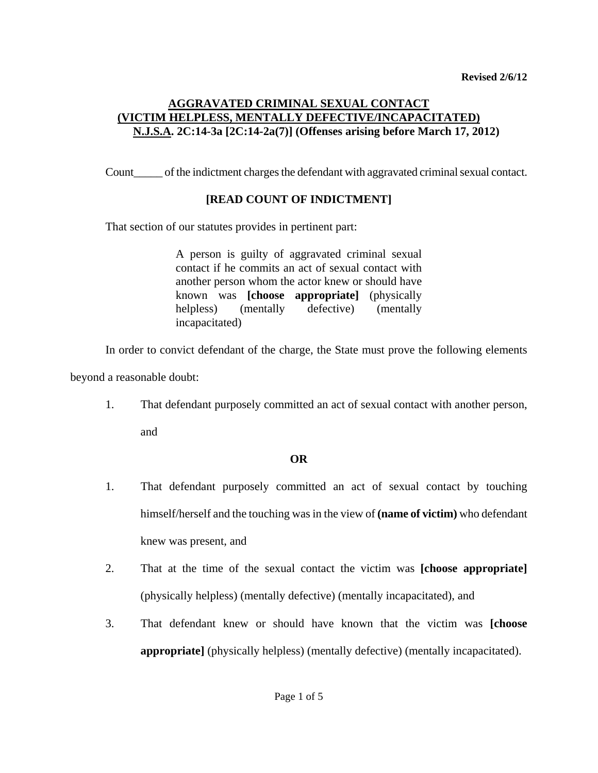# **AGGRAVATED CRIMINAL SEXUAL CONTACT (VICTIM HELPLESS, MENTALLY DEFECTIVE/INCAPACITATED) N.J.S.A. 2C:14-3a [2C:14-2a(7)] (Offenses arising before March 17, 2012)**

Count\_\_\_\_\_ of the indictment charges the defendant with aggravated criminal sexual contact.

### **[READ COUNT OF INDICTMENT]**

That section of our statutes provides in pertinent part:

A person is guilty of aggravated criminal sexual contact if he commits an act of sexual contact with another person whom the actor knew or should have known was **[choose appropriate]** (physically helpless) (mentally defective) (mentally incapacitated)

In order to convict defendant of the charge, the State must prove the following elements

beyond a reasonable doubt:

1. That defendant purposely committed an act of sexual contact with another person,

and

### **OR**

- 1. That defendant purposely committed an act of sexual contact by touching himself/herself and the touching was in the view of **(name of victim)** who defendant knew was present, and
- 2. That at the time of the sexual contact the victim was **[choose appropriate]** (physically helpless) (mentally defective) (mentally incapacitated), and
- <span id="page-0-0"></span>3. That defendant knew or should have known that the victim was **[choose appropriate]** (physically helpless) (mentally defective) (mentally incapacitated).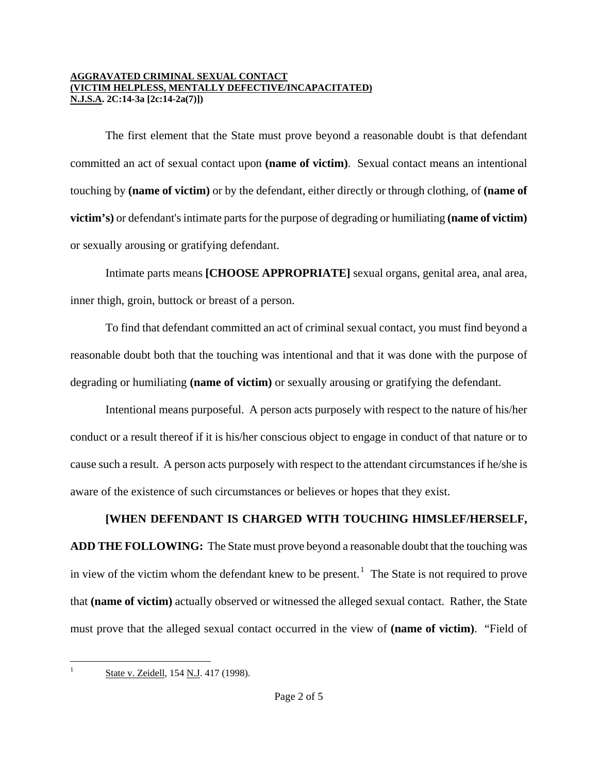The first element that the State must prove beyond a reasonable doubt is that defendant committed an act of sexual contact upon **(name of victim)**. Sexual contact means an intentional touching by **(name of victim)** or by the defendant, either directly or through clothing, of **(name of victim's)** or defendant's intimate parts for the purpose of degrading or humiliating **(name of victim)** or sexually arousing or gratifying defendant.

Intimate parts means **[CHOOSE APPROPRIATE]** sexual organs, genital area, anal area, inner thigh, groin, buttock or breast of a person.

To find that defendant committed an act of criminal sexual contact, you must find beyond a reasonable doubt both that the touching was intentional and that it was done with the purpose of degrading or humiliating **(name of victim)** or sexually arousing or gratifying the defendant.

Intentional means purposeful. A person acts purposely with respect to the nature of his/her conduct or a result thereof if it is his/her conscious object to engage in conduct of that nature or to cause such a result. A person acts purposely with respect to the attendant circumstances if he/she is aware of the existence of such circumstances or believes or hopes that they exist.

## **[WHEN DEFENDANT IS CHARGED WITH TOUCHING HIMSLEF/HERSELF,**

**ADD THE FOLLOWING:** The State must prove beyond a reasonable doubt that the touching was in view of the victim whom the defendant knew to be present.<sup>[1](#page-0-0)</sup> The State is not required to prove that **(name of victim)** actually observed or witnessed the alleged sexual contact. Rather, the State must prove that the alleged sexual contact occurred in the view of **(name of victim)**. "Field of

<span id="page-1-0"></span> $\mathbf{1}$ 

State v. Zeidell, 154 N.J. 417 (1998).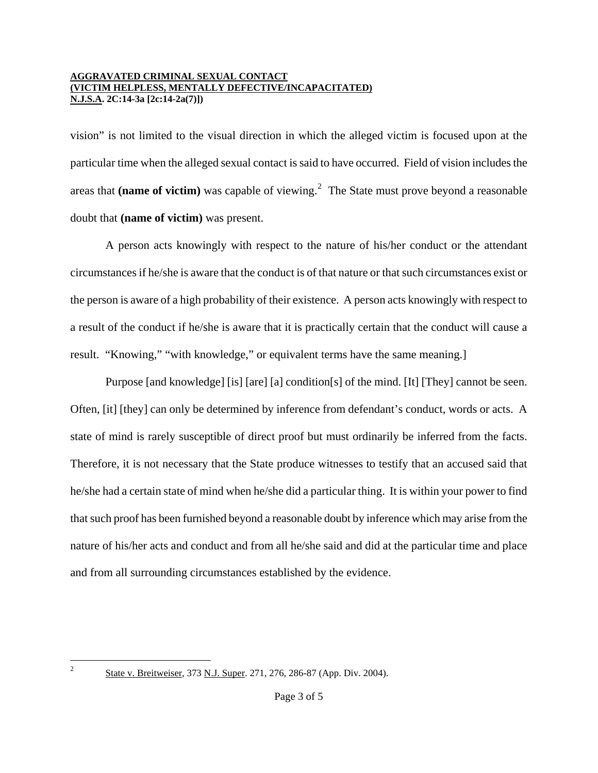vision" is not limited to the visual direction in which the alleged victim is focused upon at the particular time when the alleged sexual contact is said to have occurred. Field of vision includes the areas that (name of victim) was capable of viewing.<sup>[2](#page-1-0)</sup> The State must prove beyond a reasonable doubt that **(name of victim)** was present.

A person acts knowingly with respect to the nature of his/her conduct or the attendant circumstances if he/she is aware that the conduct is of that nature or that such circumstances exist or the person is aware of a high probability of their existence. A person acts knowingly with respect to a result of the conduct if he/she is aware that it is practically certain that the conduct will cause a result. "Knowing," "with knowledge," or equivalent terms have the same meaning.]

Purpose [and knowledge] [is] [are] [a] condition[s] of the mind. [It] [They] cannot be seen. Often, [it] [they] can only be determined by inference from defendant's conduct, words or acts. A state of mind is rarely susceptible of direct proof but must ordinarily be inferred from the facts. Therefore, it is not necessary that the State produce witnesses to testify that an accused said that he/she had a certain state of mind when he/she did a particular thing. It is within your power to find that such proof has been furnished beyond a reasonable doubt by inference which may arise from the nature of his/her acts and conduct and from all he/she said and did at the particular time and place and from all surrounding circumstances established by the evidence.

<span id="page-2-0"></span> $\overline{2}$ 

State v. Breitweiser, 373 N.J. Super. 271, 276, 286-87 (App. Div. 2004).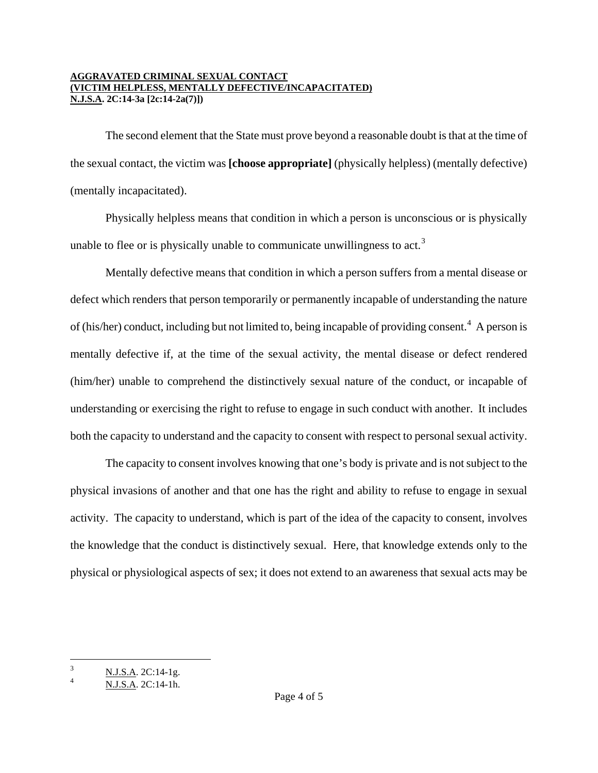The second element that the State must prove beyond a reasonable doubt is that at the time of the sexual contact, the victim was **[choose appropriate]** (physically helpless) (mentally defective) (mentally incapacitated).

Physically helpless means that condition in which a person is unconscious or is physically unable to flee or is physically unable to communicate unwillingness to act.<sup>[3](#page-2-0)</sup>

Mentally defective means that condition in which a person suffers from a mental disease or defect which renders that person temporarily or permanently incapable of understanding the nature of (his/her) conduct, including but not limited to, being incapable of providing consent.<sup>[4](#page-3-0)</sup> A person is mentally defective if, at the time of the sexual activity, the mental disease or defect rendered (him/her) unable to comprehend the distinctively sexual nature of the conduct, or incapable of understanding or exercising the right to refuse to engage in such conduct with another. It includes both the capacity to understand and the capacity to consent with respect to personal sexual activity.

The capacity to consent involves knowing that one's body is private and is not subject to the physical invasions of another and that one has the right and ability to refuse to engage in sexual activity. The capacity to understand, which is part of the idea of the capacity to consent, involves the knowledge that the conduct is distinctively sexual. Here, that knowledge extends only to the physical or physiological aspects of sex; it does not extend to an awareness that sexual acts may be

i

<span id="page-3-1"></span> $\frac{3}{1}$  N.J.S.A. 2C:14-1g.

<span id="page-3-0"></span><sup>4</sup> N.J.S.A. 2C:14-1h.